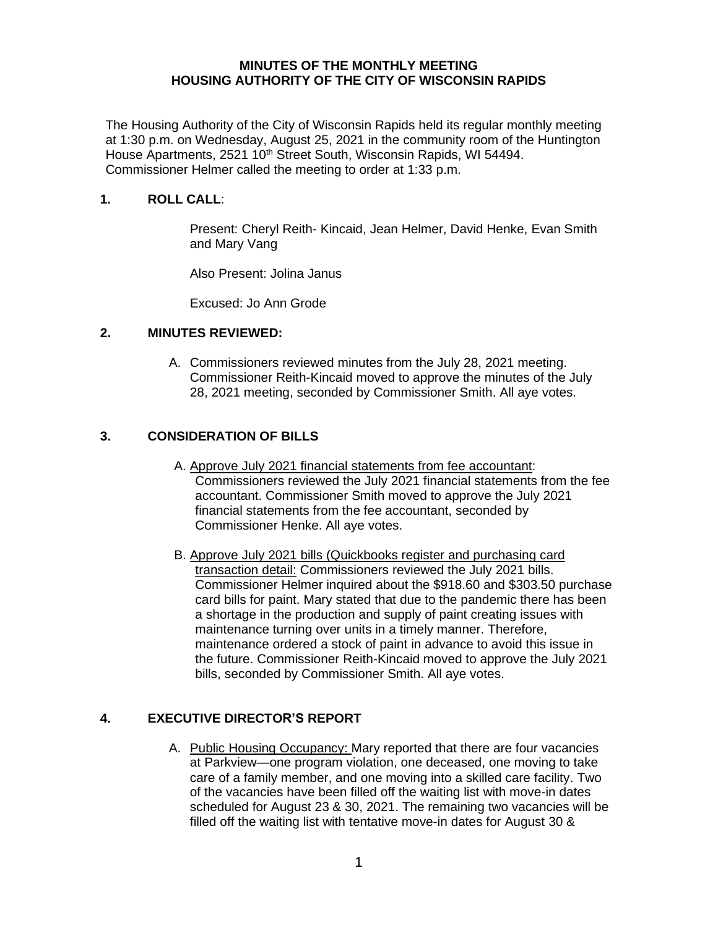### **MINUTES OF THE MONTHLY MEETING HOUSING AUTHORITY OF THE CITY OF WISCONSIN RAPIDS**

The Housing Authority of the City of Wisconsin Rapids held its regular monthly meeting at 1:30 p.m. on Wednesday, August 25, 2021 in the community room of the Huntington House Apartments, 2521 10<sup>th</sup> Street South, Wisconsin Rapids, WI 54494. Commissioner Helmer called the meeting to order at 1:33 p.m.

### **1. ROLL CALL**:

Present: Cheryl Reith- Kincaid, Jean Helmer, David Henke, Evan Smith and Mary Vang

Also Present: Jolina Janus

Excused: Jo Ann Grode

### **2. MINUTES REVIEWED:**

A. Commissioners reviewed minutes from the July 28, 2021 meeting. Commissioner Reith-Kincaid moved to approve the minutes of the July 28, 2021 meeting, seconded by Commissioner Smith. All aye votes.

# **3. CONSIDERATION OF BILLS**

- A. Approve July 2021 financial statements from fee accountant: Commissioners reviewed the July 2021 financial statements from the fee accountant. Commissioner Smith moved to approve the July 2021 financial statements from the fee accountant, seconded by Commissioner Henke. All aye votes.
- B. Approve July 2021 bills (Quickbooks register and purchasing card transaction detail: Commissioners reviewed the July 2021 bills. Commissioner Helmer inquired about the \$918.60 and \$303.50 purchase card bills for paint. Mary stated that due to the pandemic there has been a shortage in the production and supply of paint creating issues with maintenance turning over units in a timely manner. Therefore, maintenance ordered a stock of paint in advance to avoid this issue in the future. Commissioner Reith-Kincaid moved to approve the July 2021 bills, seconded by Commissioner Smith. All aye votes.

# **4. EXECUTIVE DIRECTOR'S REPORT**

A. Public Housing Occupancy: Mary reported that there are four vacancies at Parkview—one program violation, one deceased, one moving to take care of a family member, and one moving into a skilled care facility. Two of the vacancies have been filled off the waiting list with move-in dates scheduled for August 23 & 30, 2021. The remaining two vacancies will be filled off the waiting list with tentative move-in dates for August 30 &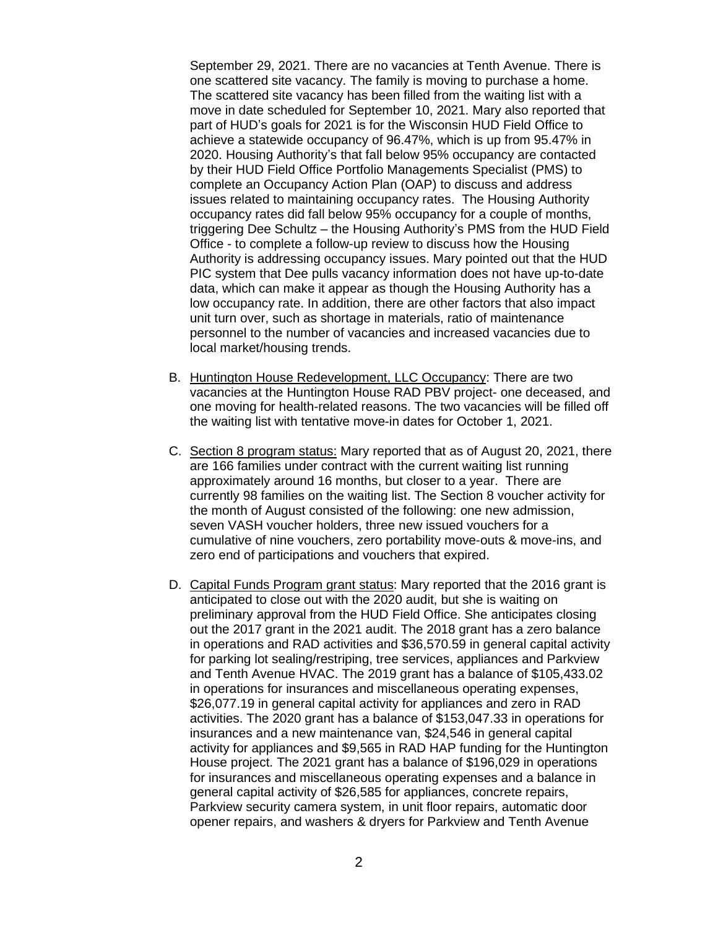September 29, 2021. There are no vacancies at Tenth Avenue. There is one scattered site vacancy. The family is moving to purchase a home. The scattered site vacancy has been filled from the waiting list with a move in date scheduled for September 10, 2021. Mary also reported that part of HUD's goals for 2021 is for the Wisconsin HUD Field Office to achieve a statewide occupancy of 96.47%, which is up from 95.47% in 2020. Housing Authority's that fall below 95% occupancy are contacted by their HUD Field Office Portfolio Managements Specialist (PMS) to complete an Occupancy Action Plan (OAP) to discuss and address issues related to maintaining occupancy rates. The Housing Authority occupancy rates did fall below 95% occupancy for a couple of months, triggering Dee Schultz – the Housing Authority's PMS from the HUD Field Office - to complete a follow-up review to discuss how the Housing Authority is addressing occupancy issues. Mary pointed out that the HUD PIC system that Dee pulls vacancy information does not have up-to-date data, which can make it appear as though the Housing Authority has a low occupancy rate. In addition, there are other factors that also impact unit turn over, such as shortage in materials, ratio of maintenance personnel to the number of vacancies and increased vacancies due to local market/housing trends.

- B. Huntington House Redevelopment, LLC Occupancy: There are two vacancies at the Huntington House RAD PBV project- one deceased, and one moving for health-related reasons. The two vacancies will be filled off the waiting list with tentative move-in dates for October 1, 2021.
- C. Section 8 program status: Mary reported that as of August 20, 2021, there are 166 families under contract with the current waiting list running approximately around 16 months, but closer to a year. There are currently 98 families on the waiting list. The Section 8 voucher activity for the month of August consisted of the following: one new admission, seven VASH voucher holders, three new issued vouchers for a cumulative of nine vouchers, zero portability move-outs & move-ins, and zero end of participations and vouchers that expired.
- D. Capital Funds Program grant status: Mary reported that the 2016 grant is anticipated to close out with the 2020 audit, but she is waiting on preliminary approval from the HUD Field Office. She anticipates closing out the 2017 grant in the 2021 audit. The 2018 grant has a zero balance in operations and RAD activities and \$36,570.59 in general capital activity for parking lot sealing/restriping, tree services, appliances and Parkview and Tenth Avenue HVAC. The 2019 grant has a balance of \$105,433.02 in operations for insurances and miscellaneous operating expenses, \$26,077.19 in general capital activity for appliances and zero in RAD activities. The 2020 grant has a balance of \$153,047.33 in operations for insurances and a new maintenance van, \$24,546 in general capital activity for appliances and \$9,565 in RAD HAP funding for the Huntington House project. The 2021 grant has a balance of \$196,029 in operations for insurances and miscellaneous operating expenses and a balance in general capital activity of \$26,585 for appliances, concrete repairs, Parkview security camera system, in unit floor repairs, automatic door opener repairs, and washers & dryers for Parkview and Tenth Avenue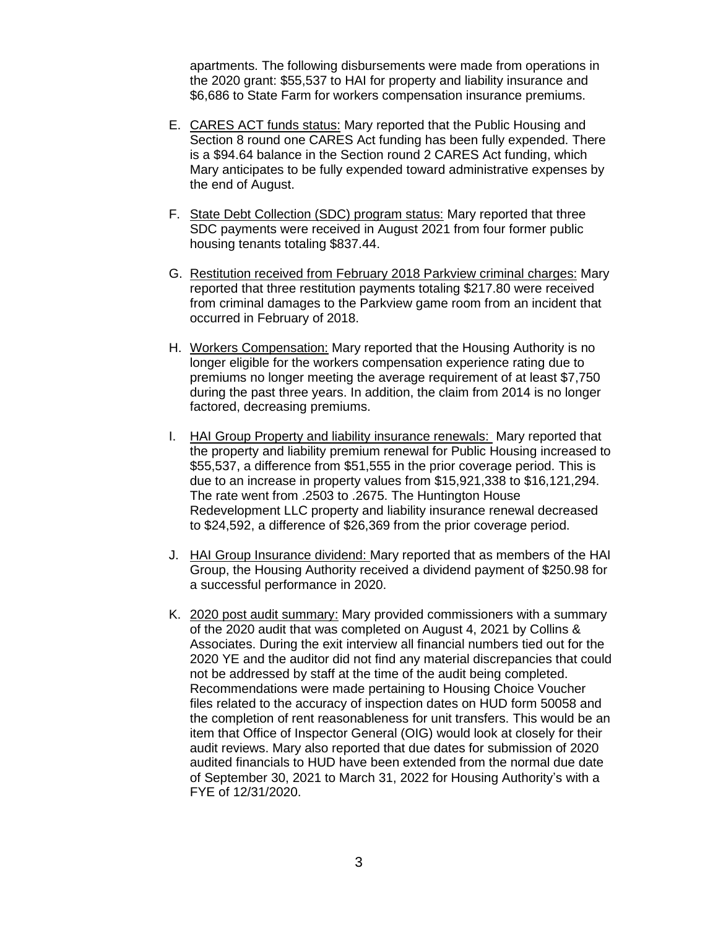apartments. The following disbursements were made from operations in the 2020 grant: \$55,537 to HAI for property and liability insurance and \$6,686 to State Farm for workers compensation insurance premiums.

- E. CARES ACT funds status: Mary reported that the Public Housing and Section 8 round one CARES Act funding has been fully expended. There is a \$94.64 balance in the Section round 2 CARES Act funding, which Mary anticipates to be fully expended toward administrative expenses by the end of August.
- F. State Debt Collection (SDC) program status: Mary reported that three SDC payments were received in August 2021 from four former public housing tenants totaling \$837.44.
- G. Restitution received from February 2018 Parkview criminal charges: Mary reported that three restitution payments totaling \$217.80 were received from criminal damages to the Parkview game room from an incident that occurred in February of 2018.
- H. Workers Compensation: Mary reported that the Housing Authority is no longer eligible for the workers compensation experience rating due to premiums no longer meeting the average requirement of at least \$7,750 during the past three years. In addition, the claim from 2014 is no longer factored, decreasing premiums.
- I. HAI Group Property and liability insurance renewals: Mary reported that the property and liability premium renewal for Public Housing increased to \$55,537, a difference from \$51,555 in the prior coverage period. This is due to an increase in property values from \$15,921,338 to \$16,121,294. The rate went from .2503 to .2675. The Huntington House Redevelopment LLC property and liability insurance renewal decreased to \$24,592, a difference of \$26,369 from the prior coverage period.
- J. HAI Group Insurance dividend: Mary reported that as members of the HAI Group, the Housing Authority received a dividend payment of \$250.98 for a successful performance in 2020.
- K. 2020 post audit summary: Mary provided commissioners with a summary of the 2020 audit that was completed on August 4, 2021 by Collins & Associates. During the exit interview all financial numbers tied out for the 2020 YE and the auditor did not find any material discrepancies that could not be addressed by staff at the time of the audit being completed. Recommendations were made pertaining to Housing Choice Voucher files related to the accuracy of inspection dates on HUD form 50058 and the completion of rent reasonableness for unit transfers. This would be an item that Office of Inspector General (OIG) would look at closely for their audit reviews. Mary also reported that due dates for submission of 2020 audited financials to HUD have been extended from the normal due date of September 30, 2021 to March 31, 2022 for Housing Authority's with a FYE of 12/31/2020.